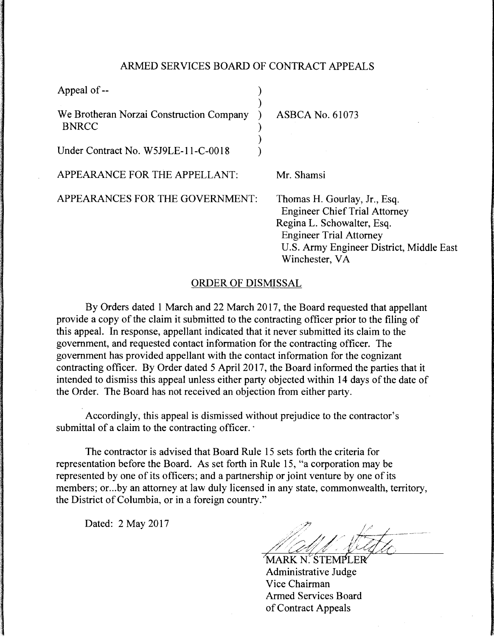## ARMED SERVICES BOARD OF CONTRACT APPEALS

)

)

Appeal of --

We Brotheran Norzai Construction Company ) ASBCA No. 61073 BNRCC )

Under Contract No. W5J9LE-11-C-0018

APPEARANCE FOR THE APPELLANT: Mr. Shamsi

APPEARANCES FOR THE GOVERNMENT: Thomas H. Gourlay, Jr., Esq.

Engineer Chief Trial Attorney Regina L. Schowalter, Esq. Engineer Trial Attorney U.S. Army Engineer District, Middle East Winchester, VA

## ORDER OF DISMISSAL

By Orders dated 1 March and 22 March 2017, the Board requested that appellant provide a copy of the claim it submitted to the contracting officer prior to the filing of this appeal. In response, appellant indicated that it never submitted its claim to the government, and requested contact information for the contracting officer. The government has provided appellant with the contact information for the cognizant contracting officer. By Order dated 5 April 2017, the Board informed the parties that it intended to dismiss this appeal unless either party objected within 14 days of the date of the Order. The Board has not received an objection from either party.

Accordingly, this appeal is dismissed without prejudice to the contractor's submittal of a claim to the contracting officer.

The contractor is advised that Board Rule 15 sets forth the criteria for representation before the Board. As set forth in Rule 15, "a corporation may be represented by one of its officers; and a partnership or joint venture by one of its members; or ... by an attorney at law duly licensed in any state, commonwealth, territory, the District of Columbia, or in a foreign country."

Dated: 2 May 2017

Administrative Judge Vice Chairman Armed Services Board of Contract Appeals